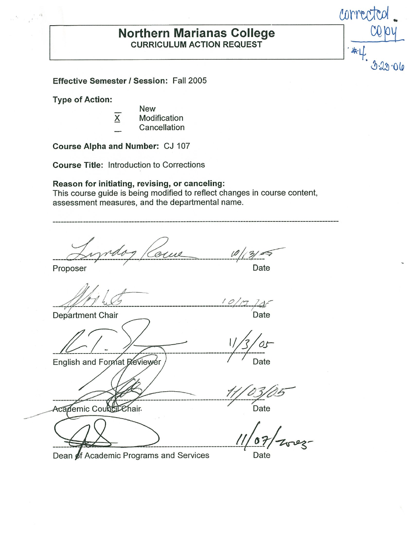# **Morthern Marianas College CONTEC CURRICULUM ACTION REQUEST**

 $\Gamma$  . The contract of the contract of the contract of the contract of the contract of the contract of the contract of the contract of the contract of the contract of the contract of the contract of the contract of the co

*corrected.* 

 $3.23.06$ 

**Effective Semester** / **Session:** Fall 2005

**Type of Action:** 

ं यो  $\frac{1}{\epsilon}$ 

- **New**
- X Modification Cancellation
- 

**Course Alpha and Number:** CJ 107

**Course Title:** Introduction to Corrections

**Reason for initiating, revising, or canceling:** 

This course guide is being modified to reflect changes in course content, assessment measures, and the departmental name.

-----------------------------------------~---------------------------------------------------------  $\frac{1}{2}$ Proposer and the Date of Date Date **l.\_\_d--·** *! o/Q /4r*   $10/17$   $745$ Department Chair Date English and Format Reviewer Date  $\sim$   $\sim$ Academic Council Chair. **Example 20** Date Dean of Academic Programs and Services Date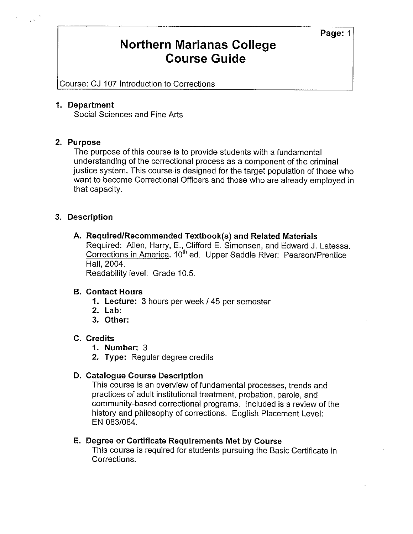### **Northern Marianas College Course Guide**

Course: CJ 107 Introduction to Corrections

#### **1. Department**

Social Sciences and Fine Arts

#### **2. Purpose**

The purpose of this course is to provide students with a fundamental understanding of the correctional process as a component of the criminal justice system. This [course.is](https://course.is) designed for the target population of those who want to become Correctional Officers and those who are already employed in that capacity.

#### **3. Description**

**A. Required/Recommended Textbook(s) and Related Materials** 

Required: Allen, Harry, E., Clifford E. Simonsen, and Edward J. Latessa. Corrections in America. 10<sup>th</sup> ed. Upper Saddle River: Pearson/Prentice Hall, 2004.

Readability level: Grade 10.5.

#### **B. Contact Hours**

- **1. Lecture:** 3 hours per week / 45 per semester
- **2. Lab:**
- **3. Other:**

#### **C. Credits**

- **1. Number:** 3
- **2. Type:** Regular degree credits

#### **D. Catalogue Course Description**

This course is an overview of fundamental processes, trends and practices of adult institutional treatment, probation, parole, and community-based correctional programs. Included is a review of the history and philosophy of corrections. English Placement Level: EN 083/084.

#### **E. Degree or Certificate Requirements Met by Course**

This course is required for students pursuing the Basic Certificate in Corrections.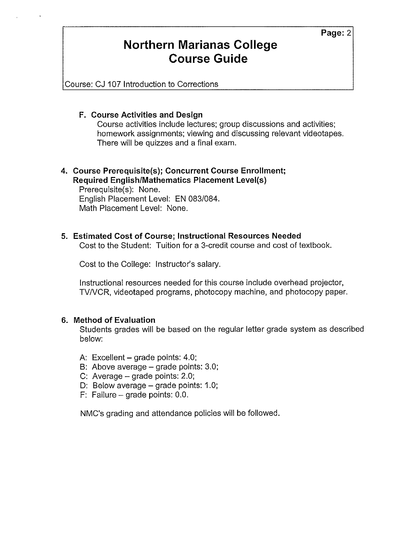### **Northern Marianas College Course Guide**

Course: CJ 107 Introduction to Corrections

#### **F. Course Activities and Design**

Course activities include lectures; group discussions and activities; homework assignments; viewing and discussing relevant videotapes. There will be quizzes and a final exam.

#### **4. Course Prerequisite(s); Concurrent Course Enrollment; Required English/Mathematics Placement Level(s)**

Prerequisite(s): None. English Placement Level: EN 083/084. Math Placement Level: None.

#### **5. Estimated Cost of Course; Instructional Resources Needed**

Cost to the Student: Tuition for a 3-credit course and cost of textbook.

Cost to the College: Instructor's salary.

Instructional resources needed for this course include overhead projector, TV/VCR, videotaped programs, photocopy machine, and photocopy paper.

#### **6. Method of Evaluation**

Students grades will be based on the regular letter grade system as described below:

- A: Excellent  $-$  grade points: 4.0;
- B: Above average grade points: 3.0;
- C: Average  $-$  grade points: 2.0;
- D: Below average  $-$  grade points: 1.0;
- F: Failure grade points: 0.0.

NMC's grading and attendance policies will be followed.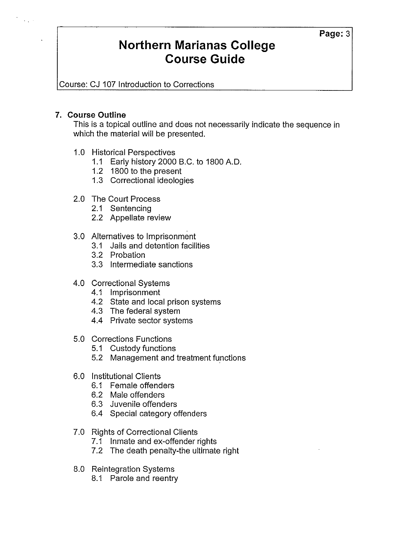## **Northern Marianas College Course Guide**

Course: CJ 107 Introduction to Corrections

#### **7. Course Outline**

 $\bar{\lambda}$  .

This is a topical outline and does not necessarily indicate the sequence in which the material will be presented.

- 1.0 Historical Perspectives
	- 1.1 Early history 2000 B.C. to 1800 A.O.
	- 1.2 1800 to the present
	- 1.3 Correctional ideologies
- 2.0 The Court Process
	- 2.1 Sentencing
	- 2.2 Appellate review
- 3.0 Alternatives to Imprisonment
	- 3.1 Jails and detention facilities
	- 3.2 Probation
	- 3.3 Intermediate sanctions
- 4.0 Correctional Systems
	- 4.1 Imprisonment
	- 4.2 State and local prison systems
	- 4.3 The federal system
	- 4.4 Private sector systems
- 5.0 Corrections Functions
	- 5.1 Custody functions
	- 5.2 Management and treatment functions
- 6.0 Institutional Clients
	- 6.1 Female offenders
	- 6.2 Male offenders
	- 6.3 Juvenile offenders
	- 6.4 Special category offenders
- 7.0 Rights of Correctional Clients
	- 7.1 Inmate and ex-offender rights
	- 7.2 The death penalty-the ultimate right
- 8.0 Reintegration Systems
	- 8.1 Parole and reentry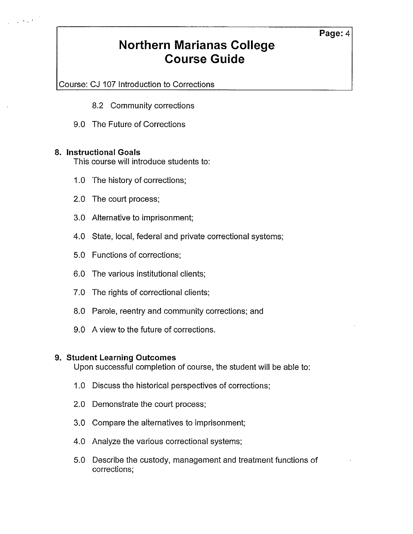## **Northern Marianas College Course Guide**

Course: CJ 107 Introduction to Corrections

- 8.2 Community corrections
- 9.0 The Future of Corrections

#### **8. Instructional Goals**

 $\mathbf{v}_{\rm eff}$  .

This course will introduce students to:

- 1.0 The history of corrections;
- 2.0 The court process;
- 3.0 Alternative to imprisonment;
- 4.0 State, local, federal and private correctional systems;
- 5.0 Functions of corrections;
- 6.0 The various institutional clients;
- 7.0 The rights of correctional clients;
- 8.0 Parole, reentry and community corrections; and
- 9.0 A view to the future of corrections.

#### **9. Student Learning Outcomes**

Upon successful completion of course, the student will be able to:

- 1.0 Discuss the historical perspectives of corrections;
- 2.0 Demonstrate the court process;
- 3.0 Compare the alternatives to imprisonment;
- 4.0 Analyze the various correctional systems;
- 5.0 Describe the custody, management and treatment functions of corrections;